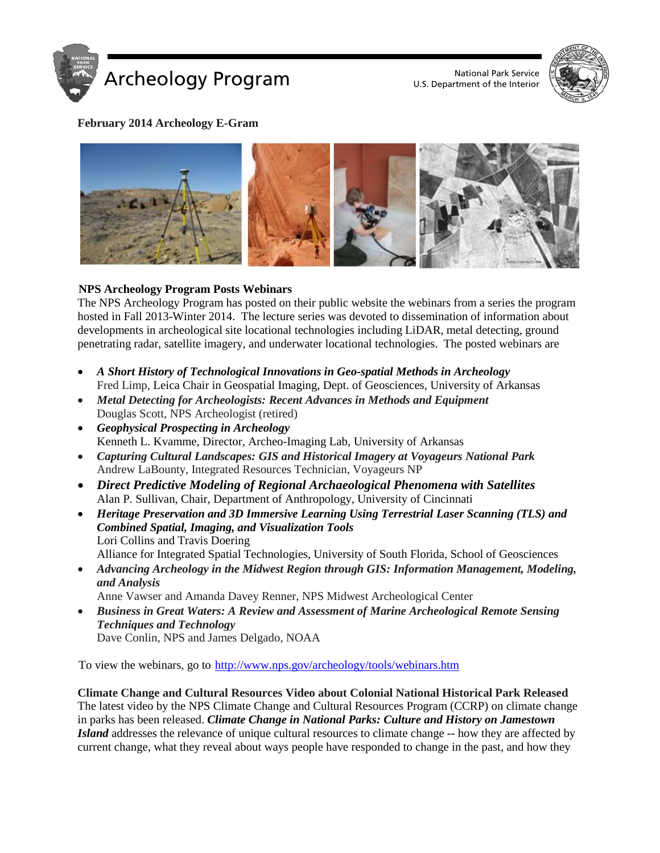

U.S. Department of the Interior



## **February 2014 Archeology E-Gram**



# **NPS Archeology Program Posts Webinars**

The NPS Archeology Program has posted on their public website the webinars from a series the program hosted in Fall 2013-Winter 2014. The lecture series was devoted to dissemination of information about developments in archeological site locational technologies including LiDAR, metal detecting, ground penetrating radar, satellite imagery, and underwater locational technologies. The posted webinars are

- *A Short History of Technological Innovations in Geo-spatial Methods in Archeology* Fred Limp, Leica Chair in Geospatial Imaging, Dept. of Geosciences, University of Arkansas
- *Metal Detecting for Archeologists: Recent Advances in Methods and Equipment* Douglas Scott, NPS Archeologist (retired)
- *Geophysical Prospecting in Archeology* Kenneth L. Kvamme, Director, Archeo-Imaging Lab, University of Arkansas
- *Capturing Cultural Landscapes: GIS and Historical Imagery at Voyageurs National Park* Andrew LaBounty, Integrated Resources Technician, Voyageurs NP
- *Direct Predictive Modeling of Regional Archaeological Phenomena with Satellites* Alan P. Sullivan, Chair, Department of Anthropology, University of Cincinnati
- *Heritage Preservation and 3D Immersive Learning Using Terrestrial Laser Scanning (TLS) and Combined Spatial, Imaging, and Visualization Tools* Lori Collins and Travis Doering
	- Alliance for Integrated Spatial Technologies, University of South Florida, School of Geosciences
- *Advancing Archeology in the Midwest Region through GIS: Information Management, Modeling, and Analysis*

Anne Vawser and Amanda Davey Renner, NPS Midwest Archeological Center

• *Business in Great Waters: A Review and Assessment of Marine Archeological Remote Sensing Techniques and Technology* Dave Conlin, NPS and James Delgado, NOAA

To view the webinars, go to<http://www.nps.gov/archeology/tools/webinars.htm>

**Climate Change and Cultural Resources Video about Colonial National Historical Park Released** The latest video by the NPS Climate Change and Cultural Resources Program (CCRP) on climate change in parks has been released. *Climate Change in National Parks: Culture and History on Jamestown Island* addresses the relevance of unique cultural resources to climate change -- how they are affected by current change, what they reveal about ways people have responded to change in the past, and how they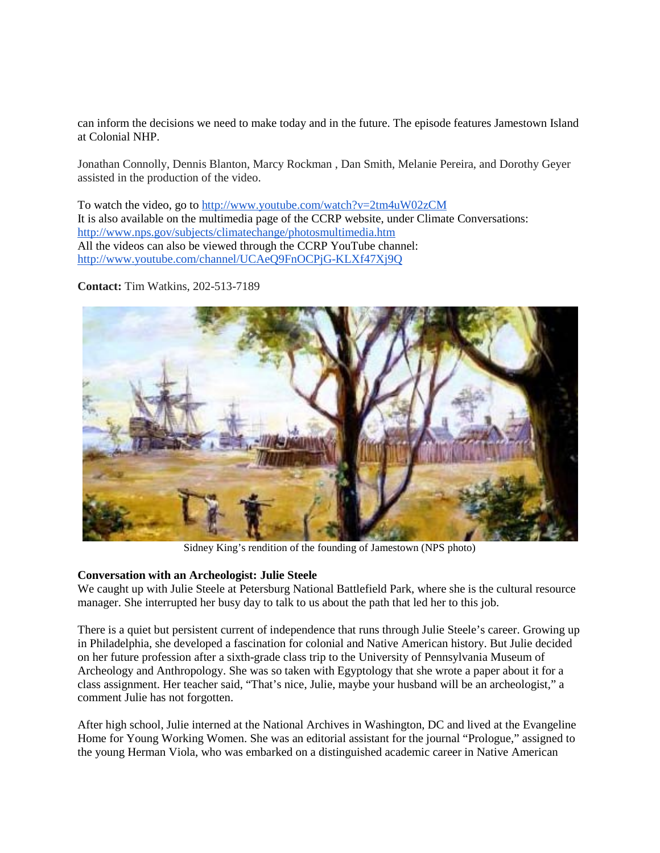can inform the decisions we need to make today and in the future. The episode features Jamestown Island at Colonial NHP.

Jonathan Connolly, Dennis Blanton, Marcy Rockman , Dan Smith, Melanie Pereira, and Dorothy Geyer assisted in the production of the video.

To watch the video, go to<http://www.youtube.com/watch?v=2tm4uW02zCM> It is also available on the multimedia page of the CCRP website, under Climate Conversations: <http://www.nps.gov/subjects/climatechange/photosmultimedia.htm> All the videos can also be viewed through the CCRP YouTube channel: <http://www.youtube.com/channel/UCAeQ9FnOCPjG-KLXf47Xj9Q>

**Contact:** Tim Watkins, 202-513-7189



Sidney King's rendition of the founding of Jamestown (NPS photo)

#### **Conversation with an Archeologist: Julie Steele**

We caught up with Julie Steele at Petersburg National Battlefield Park, where she is the cultural resource manager. She interrupted her busy day to talk to us about the path that led her to this job.

There is a quiet but persistent current of independence that runs through Julie Steele's career. Growing up in Philadelphia, she developed a fascination for colonial and Native American history. But Julie decided on her future profession after a sixth-grade class trip to the University of Pennsylvania Museum of Archeology and Anthropology. She was so taken with Egyptology that she wrote a paper about it for a class assignment. Her teacher said, "That's nice, Julie, maybe your husband will be an archeologist," a comment Julie has not forgotten.

After high school, Julie interned at the National Archives in Washington, DC and lived at the Evangeline Home for Young Working Women. She was an editorial assistant for the journal "Prologue," assigned to the young Herman Viola, who was embarked on a distinguished academic career in Native American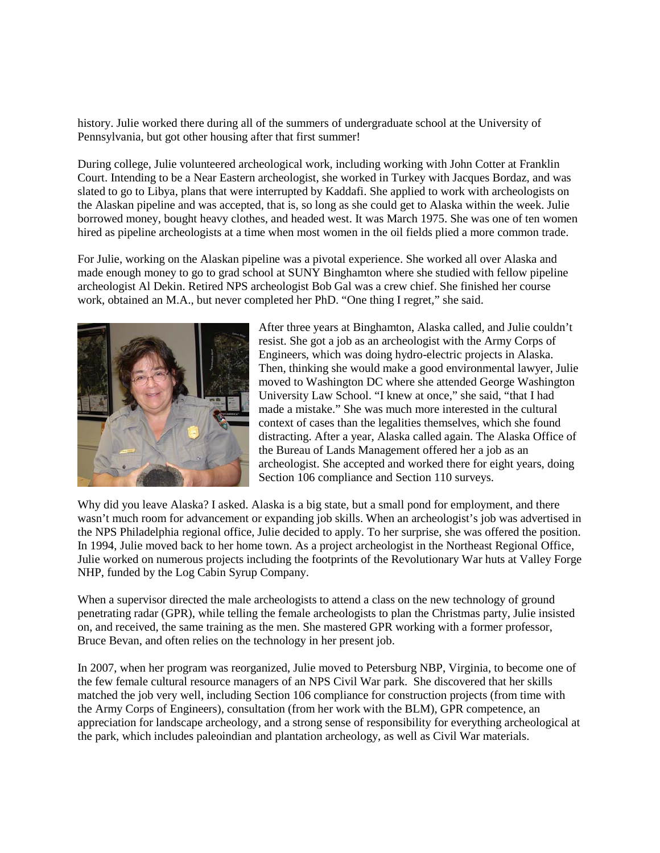history. Julie worked there during all of the summers of undergraduate school at the University of Pennsylvania, but got other housing after that first summer!

During college, Julie volunteered archeological work, including working with John Cotter at Franklin Court. Intending to be a Near Eastern archeologist, she worked in Turkey with Jacques Bordaz, and was slated to go to Libya, plans that were interrupted by Kaddafi. She applied to work with archeologists on the Alaskan pipeline and was accepted, that is, so long as she could get to Alaska within the week. Julie borrowed money, bought heavy clothes, and headed west. It was March 1975. She was one of ten women hired as pipeline archeologists at a time when most women in the oil fields plied a more common trade.

For Julie, working on the Alaskan pipeline was a pivotal experience. She worked all over Alaska and made enough money to go to grad school at SUNY Binghamton where she studied with fellow pipeline archeologist Al Dekin. Retired NPS archeologist Bob Gal was a crew chief. She finished her course work, obtained an M.A., but never completed her PhD. "One thing I regret," she said.



After three years at Binghamton, Alaska called, and Julie couldn't resist. She got a job as an archeologist with the Army Corps of Engineers, which was doing hydro-electric projects in Alaska. Then, thinking she would make a good environmental lawyer, Julie moved to Washington DC where she attended George Washington University Law School. "I knew at once," she said, "that I had made a mistake." She was much more interested in the cultural context of cases than the legalities themselves, which she found distracting. After a year, Alaska called again. The Alaska Office of the Bureau of Lands Management offered her a job as an archeologist. She accepted and worked there for eight years, doing Section 106 compliance and Section 110 surveys.

Why did you leave Alaska? I asked. Alaska is a big state, but a small pond for employment, and there wasn't much room for advancement or expanding job skills. When an archeologist's job was advertised in the NPS Philadelphia regional office, Julie decided to apply. To her surprise, she was offered the position. In 1994, Julie moved back to her home town. As a project archeologist in the Northeast Regional Office, Julie worked on numerous projects including the footprints of the Revolutionary War huts at Valley Forge NHP, funded by the Log Cabin Syrup Company.

When a supervisor directed the male archeologists to attend a class on the new technology of ground penetrating radar (GPR), while telling the female archeologists to plan the Christmas party, Julie insisted on, and received, the same training as the men. She mastered GPR working with a former professor, Bruce Bevan, and often relies on the technology in her present job.

In 2007, when her program was reorganized, Julie moved to Petersburg NBP, Virginia, to become one of the few female cultural resource managers of an NPS Civil War park. She discovered that her skills matched the job very well, including Section 106 compliance for construction projects (from time with the Army Corps of Engineers), consultation (from her work with the BLM), GPR competence, an appreciation for landscape archeology, and a strong sense of responsibility for everything archeological at the park, which includes paleoindian and plantation archeology, as well as Civil War materials.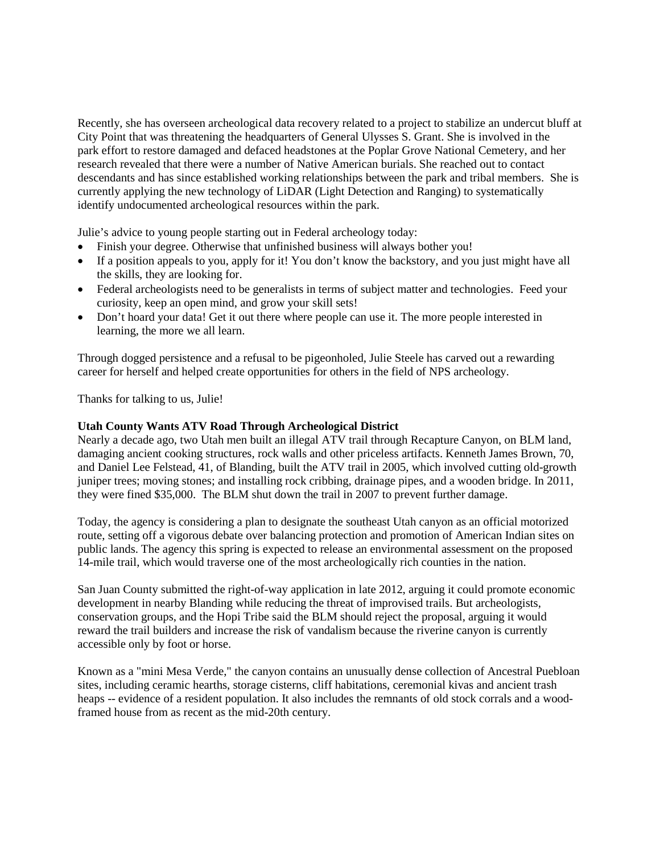Recently, she has overseen archeological data recovery related to a project to stabilize an undercut bluff at City Point that was threatening the headquarters of General Ulysses S. Grant. She is involved in the park effort to restore damaged and defaced headstones at the Poplar Grove National Cemetery, and her research revealed that there were a number of Native American burials. She reached out to contact descendants and has since established working relationships between the park and tribal members. She is currently applying the new technology of LiDAR (Light Detection and Ranging) to systematically identify undocumented archeological resources within the park.

Julie's advice to young people starting out in Federal archeology today:

- Finish your degree. Otherwise that unfinished business will always bother you!
- If a position appeals to you, apply for it! You don't know the backstory, and you just might have all the skills, they are looking for.
- Federal archeologists need to be generalists in terms of subject matter and technologies. Feed your curiosity, keep an open mind, and grow your skill sets!
- Don't hoard your data! Get it out there where people can use it. The more people interested in learning, the more we all learn.

Through dogged persistence and a refusal to be pigeonholed, Julie Steele has carved out a rewarding career for herself and helped create opportunities for others in the field of NPS archeology.

Thanks for talking to us, Julie!

### **Utah County Wants ATV Road Through Archeological District**

Nearly a decade ago, two Utah men built an illegal ATV trail through Recapture Canyon, on BLM land, damaging ancient cooking structures, rock walls and other priceless artifacts. Kenneth James Brown, 70, and Daniel Lee Felstead, 41, of Blanding, built the ATV trail in 2005, which involved cutting old-growth juniper trees; moving stones; and installing rock cribbing, drainage pipes, and a wooden bridge. In 2011, they were fined \$35,000. The BLM shut down the trail in 2007 to prevent further damage.

Today, the agency is considering a plan to designate the southeast Utah canyon as an official motorized route, setting off a vigorous debate over balancing protection and promotion of American Indian sites on public lands. The agency this spring is expected to release an environmental assessment on the proposed 14-mile trail, which would traverse one of the most archeologically rich counties in the nation.

San Juan County submitted the right-of-way application in late 2012, arguing it could promote economic development in nearby Blanding while reducing the threat of improvised trails. But archeologists, conservation groups, and the Hopi Tribe said the BLM should reject the proposal, arguing it would reward the trail builders and increase the risk of vandalism because the riverine canyon is currently accessible only by foot or horse.

Known as a "mini Mesa Verde," the canyon contains an unusually dense collection of Ancestral Puebloan sites, including ceramic hearths, storage cisterns, cliff habitations, ceremonial kivas and ancient trash heaps -- evidence of a resident population. It also includes the remnants of old stock corrals and a woodframed house from as recent as the mid-20th century.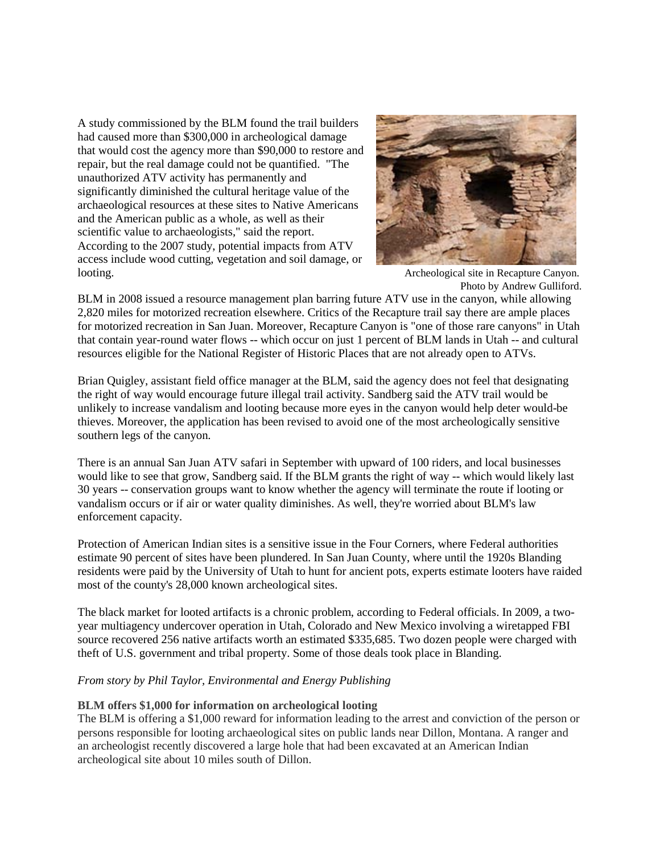A study commissioned by the BLM found the trail builders had caused more than \$300,000 in archeological damage that would cost the agency more than \$90,000 to restore and repair, but the real damage could not be quantified. "The unauthorized ATV activity has permanently and significantly diminished the cultural heritage value of the archaeological resources at these sites to Native Americans and the American public as a whole, as well as their scientific value to archaeologists," said the report. According to the 2007 study, potential impacts from ATV access include wood cutting, vegetation and soil damage, or looting. Archeological site in Recapture Canyon.



Photo by Andrew Gulliford.

BLM in 2008 issued a resource management plan barring future ATV use in the canyon, while allowing 2,820 miles for motorized recreation elsewhere. Critics of the Recapture trail say there are ample places for motorized recreation in San Juan. Moreover, Recapture Canyon is "one of those rare canyons" in Utah that contain year-round water flows -- which occur on just 1 percent of BLM lands in Utah -- and cultural resources eligible for the National Register of Historic Places that are not already open to ATVs.

Brian Quigley, assistant field office manager at the BLM, said the agency does not feel that designating the right of way would encourage future illegal trail activity. Sandberg said the ATV trail would be unlikely to increase vandalism and looting because more eyes in the canyon would help deter would-be thieves. Moreover, the application has been revised to avoid one of the most archeologically sensitive southern legs of the canyon.

There is an annual San Juan ATV safari in September with upward of 100 riders, and local businesses would like to see that grow, Sandberg said. If the BLM grants the right of way -- which would likely last 30 years -- conservation groups want to know whether the agency will terminate the route if looting or vandalism occurs or if air or water quality diminishes. As well, they're worried about BLM's law enforcement capacity.

Protection of American Indian sites is a sensitive issue in the Four Corners, where Federal authorities estimate 90 percent of sites have been plundered. In San Juan County, where until the 1920s Blanding residents were paid by the University of Utah to hunt for ancient pots, experts estimate looters have raided most of the county's 28,000 known archeological sites.

The black market for looted artifacts is a chronic problem, according to Federal officials. In 2009, a twoyear multiagency undercover operation in Utah, Colorado and New Mexico involving a wiretapped FBI source recovered 256 native artifacts worth an estimated \$335,685. Two dozen people were charged with theft of U.S. government and tribal property. Some of those deals took place in Blanding.

## *From story by Phil Taylor, Environmental and Energy Publishing*

## **BLM offers \$1,000 for information on archeological looting**

The BLM is offering a \$1,000 reward for information leading to the arrest and conviction of the person or persons responsible for looting archaeological sites on public lands near Dillon, Montana. A ranger and an archeologist recently discovered a large hole that had been excavated at an American Indian archeological site about 10 miles south of Dillon.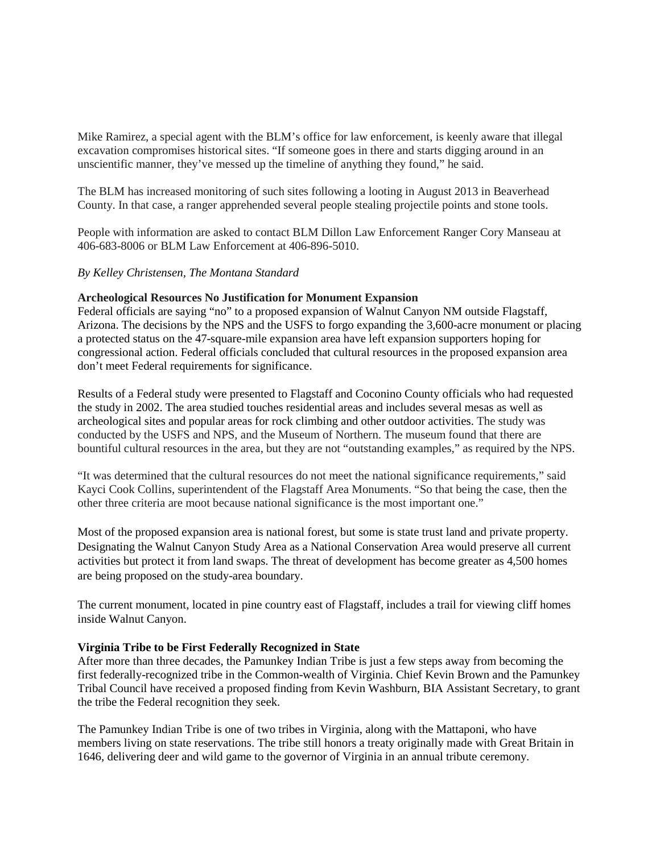Mike Ramirez, a special agent with the BLM's office for law enforcement, is keenly aware that illegal excavation compromises historical sites. "If someone goes in there and starts digging around in an unscientific manner, they've messed up the timeline of anything they found," he said.

The BLM has increased monitoring of such sites following a looting in August 2013 in Beaverhead County. In that case, a ranger apprehended several people stealing projectile points and stone tools.

People with information are asked to contact BLM Dillon Law Enforcement Ranger Cory Manseau at 406-683-8006 or BLM Law Enforcement at 406-896-5010.

#### *By Kelley Christensen, The Montana Standard*

#### **Archeological Resources No Justification for Monument Expansion**

Federal officials are saying "no" to a proposed expansion of Walnut Canyon NM outside Flagstaff, Arizona. The decisions by the NPS and the USFS to forgo expanding the 3,600-acre monument or placing a protected status on the 47-square-mile expansion area have left expansion supporters hoping for congressional action. Federal officials concluded that cultural resources in the proposed expansion area don't meet Federal requirements for significance.

Results of a Federal study were presented to Flagstaff and Coconino County officials who had requested the study in 2002. The area studied touches residential areas and includes several mesas as well as archeological sites and popular areas for rock climbing and other outdoor activities. The study was conducted by the USFS and NPS, and the Museum of Northern. The museum found that there are bountiful cultural resources in the area, but they are not "outstanding examples," as required by the NPS.

"It was determined that the cultural resources do not meet the national significance requirements," said Kayci Cook Collins, superintendent of the Flagstaff Area Monuments. "So that being the case, then the other three criteria are moot because national significance is the most important one."

Most of the proposed expansion area is national forest, but some is state trust land and private property. Designating the Walnut Canyon Study Area as a National Conservation Area would preserve all current activities but protect it from land swaps. The threat of development has become greater as 4,500 homes are being proposed on the study-area boundary.

The current monument, located in pine country east of Flagstaff, includes a trail for viewing cliff homes inside Walnut Canyon.

#### **Virginia Tribe to be First Federally Recognized in State**

After more than three decades, the Pamunkey Indian Tribe is just a few steps away from becoming the first federally-recognized tribe in the Common-wealth of Virginia. Chief Kevin Brown and the Pamunkey Tribal Council have received a proposed finding from Kevin Washburn, BIA Assistant Secretary, to grant the tribe the Federal recognition they seek.

The Pamunkey Indian Tribe is one of two tribes in Virginia, along with the Mattaponi, who have members living on state reservations. The tribe still honors a treaty originally made with Great Britain in 1646, delivering deer and wild game to the governor of Virginia in an annual tribute ceremony.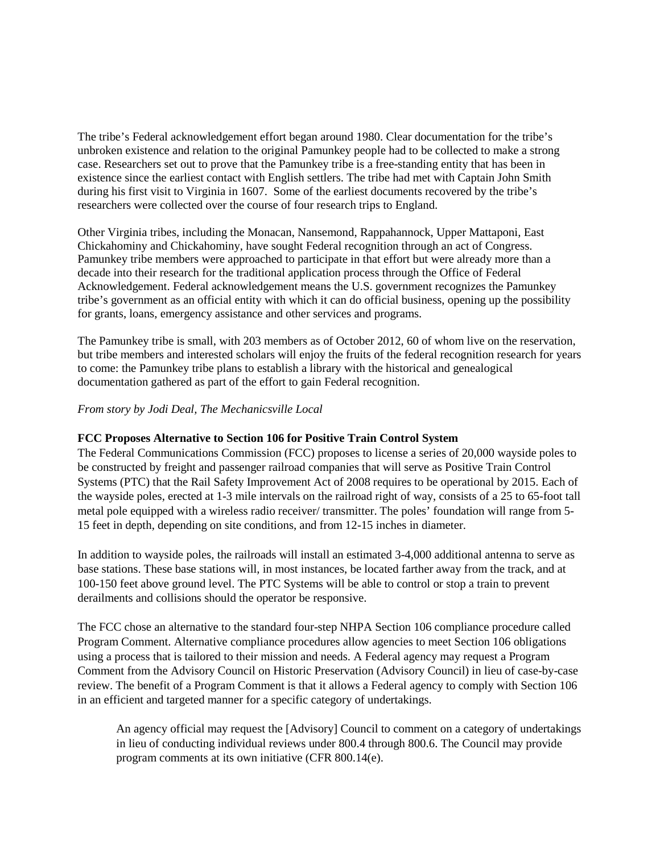The tribe's Federal acknowledgement effort began around 1980. Clear documentation for the tribe's unbroken existence and relation to the original Pamunkey people had to be collected to make a strong case. Researchers set out to prove that the Pamunkey tribe is a free-standing entity that has been in existence since the earliest contact with English settlers. The tribe had met with Captain John Smith during his first visit to Virginia in 1607. Some of the earliest documents recovered by the tribe's researchers were collected over the course of four research trips to England.

Other Virginia tribes, including the Monacan, Nansemond, Rappahannock, Upper Mattaponi, East Chickahominy and Chickahominy, have sought Federal recognition through an act of Congress. Pamunkey tribe members were approached to participate in that effort but were already more than a decade into their research for the traditional application process through the Office of Federal Acknowledgement. Federal acknowledgement means the U.S. government recognizes the Pamunkey tribe's government as an official entity with which it can do official business, opening up the possibility for grants, loans, emergency assistance and other services and programs.

The Pamunkey tribe is small, with 203 members as of October 2012, 60 of whom live on the reservation, but tribe members and interested scholars will enjoy the fruits of the federal recognition research for years to come: the Pamunkey tribe plans to establish a library with the historical and genealogical documentation gathered as part of the effort to gain Federal recognition.

## *From story by Jodi Deal, The Mechanicsville Local*

## **FCC Proposes Alternative to Section 106 for Positive Train Control System**

The Federal Communications Commission (FCC) proposes to license a series of 20,000 wayside poles to be constructed by freight and passenger railroad companies that will serve as Positive Train Control Systems (PTC) that the Rail Safety Improvement Act of 2008 requires to be operational by 2015. Each of the wayside poles, erected at 1-3 mile intervals on the railroad right of way, consists of a 25 to 65-foot tall metal pole equipped with a wireless radio receiver/ transmitter. The poles' foundation will range from 5- 15 feet in depth, depending on site conditions, and from 12-15 inches in diameter.

In addition to wayside poles, the railroads will install an estimated 3-4,000 additional antenna to serve as base stations. These base stations will, in most instances, be located farther away from the track, and at 100-150 feet above ground level. The PTC Systems will be able to control or stop a train to prevent derailments and collisions should the operator be responsive.

The FCC chose an alternative to the standard four-step NHPA Section 106 compliance procedure called Program Comment. Alternative compliance procedures allow agencies to meet Section 106 obligations using a process that is tailored to their mission and needs. A Federal agency may request a Program Comment from the Advisory Council on Historic Preservation (Advisory Council) in lieu of case-by-case review. The benefit of a Program Comment is that it allows a Federal agency to comply with Section 106 in an efficient and targeted manner for a specific category of undertakings.

An agency official may request the [Advisory] Council to comment on a category of undertakings in lieu of conducting individual reviews under 800.4 through 800.6. The Council may provide program comments at its own initiative (CFR 800.14(e).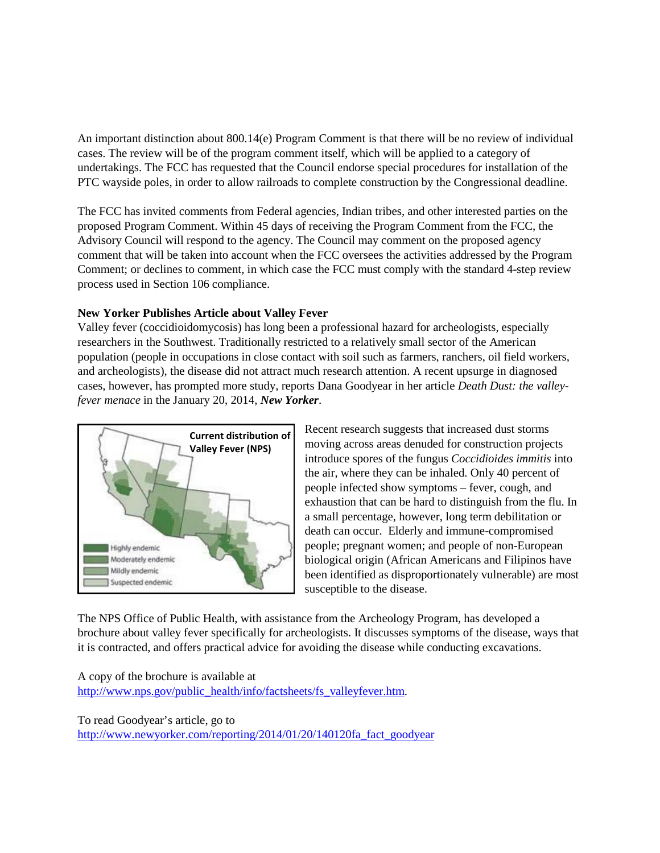An important distinction about 800.14(e) Program Comment is that there will be no review of individual cases. The review will be of the program comment itself, which will be applied to a category of undertakings. The FCC has requested that the Council endorse special procedures for installation of the PTC wayside poles, in order to allow railroads to complete construction by the Congressional deadline.

The FCC has invited comments from Federal agencies, Indian tribes, and other interested parties on the proposed Program Comment. Within 45 days of receiving the Program Comment from the FCC, the Advisory Council will respond to the agency. The Council may comment on the proposed agency comment that will be taken into account when the FCC oversees the activities addressed by the Program Comment; or declines to comment, in which case the FCC must comply with the standard 4-step review process used in Section 106 compliance.

## **New Yorker Publishes Article about Valley Fever**

Valley fever (coccidioidomycosis) has long been a professional hazard for archeologists, especially researchers in the Southwest. Traditionally restricted to a relatively small sector of the American population (people in occupations in close contact with soil such as farmers, ranchers, oil field workers, and archeologists), the disease did not attract much research attention. A recent upsurge in diagnosed cases, however, has prompted more study, reports Dana Goodyear in her article *Death Dust: the valleyfever menace* in the January 20, 2014, *New Yorker*.



Recent research suggests that increased dust storms moving across areas denuded for construction projects introduce spores of the fungus *Coccidioides immitis* into the air, where they can be inhaled. Only 40 percent of people infected show symptoms – fever, cough, and exhaustion that can be hard to distinguish from the flu. In a small percentage, however, long term debilitation or death can occur. Elderly and immune-compromised people; pregnant women; and people of non-European biological origin (African Americans and Filipinos have been identified as disproportionately vulnerable) are most susceptible to the disease.

The NPS Office of Public Health, with assistance from the Archeology Program, has developed a brochure about valley fever specifically for archeologists. It discusses symptoms of the disease, ways that it is contracted, and offers practical advice for avoiding the disease while conducting excavations.

A copy of the brochure is available at [http://www.nps.gov/public\\_health/info/factsheets/fs\\_valleyfever.htm.](http://www.nps.gov/public_health/info/factsheets/fs_valleyfever.htm)

To read Goodyear's article, go to [http://www.newyorker.com/reporting/2014/01/20/140120fa\\_fact\\_goodyear](http://www.newyorker.com/reporting/2014/01/20/140120fa_fact_goodyear)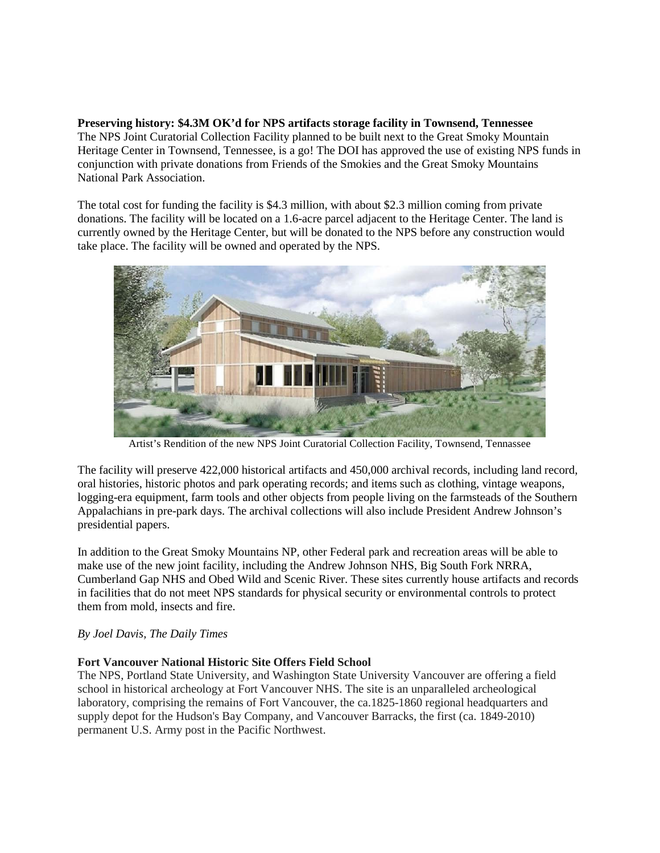**Preserving history: \$4.3M OK'd for NPS artifacts storage facility in Townsend, Tennessee** The NPS Joint Curatorial Collection Facility planned to be built next to the Great Smoky Mountain Heritage Center in Townsend, Tennessee, is a go! The DOI has approved the use of existing NPS funds in conjunction with private donations from Friends of the Smokies and the Great Smoky Mountains National Park Association.

The total cost for funding the facility is \$4.3 million, with about \$2.3 million coming from private donations. The facility will be located on a 1.6-acre parcel adjacent to the Heritage Center. The land is currently owned by the Heritage Center, but will be donated to the NPS before any construction would take place. The facility will be owned and operated by the NPS.



Artist's Rendition of the new NPS Joint Curatorial Collection Facility, Townsend, Tennassee

The facility will preserve 422,000 historical artifacts and 450,000 archival records, including land record, oral histories, historic photos and park operating records; and items such as clothing, vintage weapons, logging-era equipment, farm tools and other objects from people living on the farmsteads of the Southern Appalachians in pre-park days. The archival collections will also include President Andrew Johnson's presidential papers.

In addition to the Great Smoky Mountains NP, other Federal park and recreation areas will be able to make use of the new joint facility, including the Andrew Johnson NHS, Big South Fork NRRA, Cumberland Gap NHS and Obed Wild and Scenic River. These sites currently house artifacts and records in facilities that do not meet NPS standards for physical security or environmental controls to protect them from mold, insects and fire.

# *By Joel Davis, The Daily Times*

# **Fort Vancouver National Historic Site Offers Field School**

The NPS, Portland State University, and Washington State University Vancouver are offering a field school in historical archeology at Fort Vancouver NHS. The site is an unparalleled archeological laboratory, comprising the remains of Fort Vancouver, the ca.1825-1860 regional headquarters and supply depot for the Hudson's Bay Company, and Vancouver Barracks, the first (ca. 1849-2010) permanent U.S. Army post in the Pacific Northwest.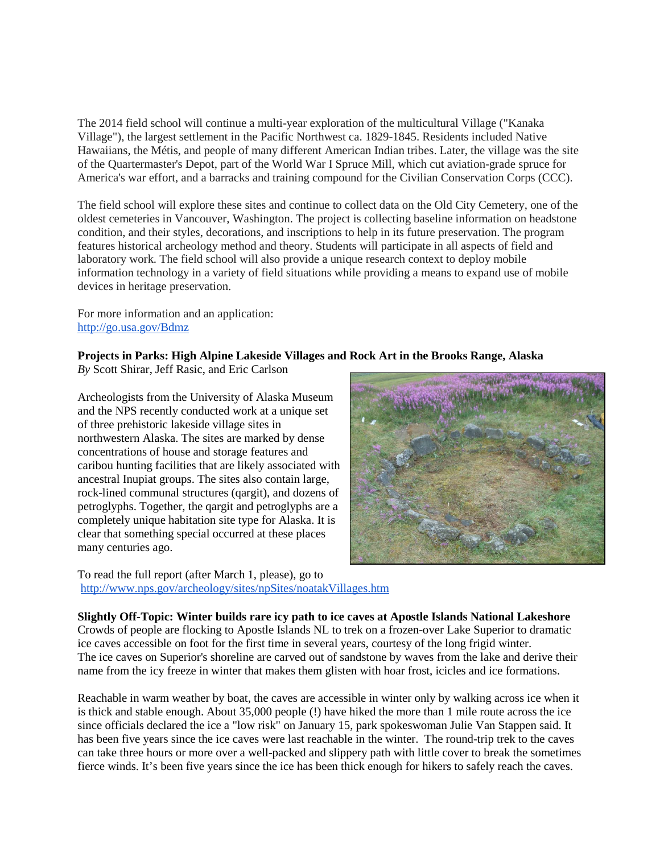The 2014 field school will continue a multi-year exploration of the multicultural Village ("Kanaka Village"), the largest settlement in the Pacific Northwest ca. 1829-1845. Residents included Native Hawaiians, the Métis, and people of many different American Indian tribes. Later, the village was the site of the Quartermaster's Depot, part of the World War I Spruce Mill, which cut aviation-grade spruce for America's war effort, and a barracks and training compound for the Civilian Conservation Corps (CCC).

The field school will explore these sites and continue to collect data on the Old City Cemetery, one of the oldest cemeteries in Vancouver, Washington. The project is collecting baseline information on headstone condition, and their styles, decorations, and inscriptions to help in its future preservation. The program features historical archeology method and theory. Students will participate in all aspects of field and laboratory work. The field school will also provide a unique research context to deploy mobile information technology in a variety of field situations while providing a means to expand use of mobile devices in heritage preservation.

For more information and an application: <http://go.usa.gov/Bdmz>

# **Projects in Parks: High Alpine Lakeside Villages and Rock Art in the Brooks Range, Alaska**

*By* Scott Shirar, Jeff Rasic, and Eric Carlson

Archeologists from the University of Alaska Museum and the NPS recently conducted work at a unique set of three prehistoric lakeside village sites in northwestern Alaska. The sites are marked by dense concentrations of house and storage features and caribou hunting facilities that are likely associated with ancestral Inupiat groups. The sites also contain large, rock-lined communal structures (qargit), and dozens of petroglyphs. Together, the qargit and petroglyphs are a completely unique habitation site type for Alaska. It is clear that something special occurred at these places many centuries ago.

To read the full report (after March 1, please), go to <http://www.nps.gov/archeology/sites/npSites/noatakVillages.htm>

**Slightly Off-Topic: Winter builds rare icy path to ice caves at Apostle Islands National Lakeshore** Crowds of people are flocking to Apostle Islands NL to trek on a frozen-over Lake Superior to dramatic ice caves accessible on foot for the first time in several years, courtesy of the long frigid winter. The ice caves on Superior's shoreline are carved out of sandstone by waves from the lake and derive their name from the icy freeze in winter that makes them glisten with hoar frost, icicles and ice formations.

Reachable in warm weather by boat, the caves are accessible in winter only by walking across ice when it is thick and stable enough. About 35,000 people (!) have hiked the more than 1 mile route across the ice since officials declared the ice a "low risk" on January 15, park spokeswoman Julie Van Stappen said. It has been five years since the ice caves were last reachable in the winter. The round-trip trek to the caves can take three hours or more over a well-packed and slippery path with little cover to break the sometimes fierce winds. It's been five years since the ice has been thick enough for hikers to safely reach the caves.